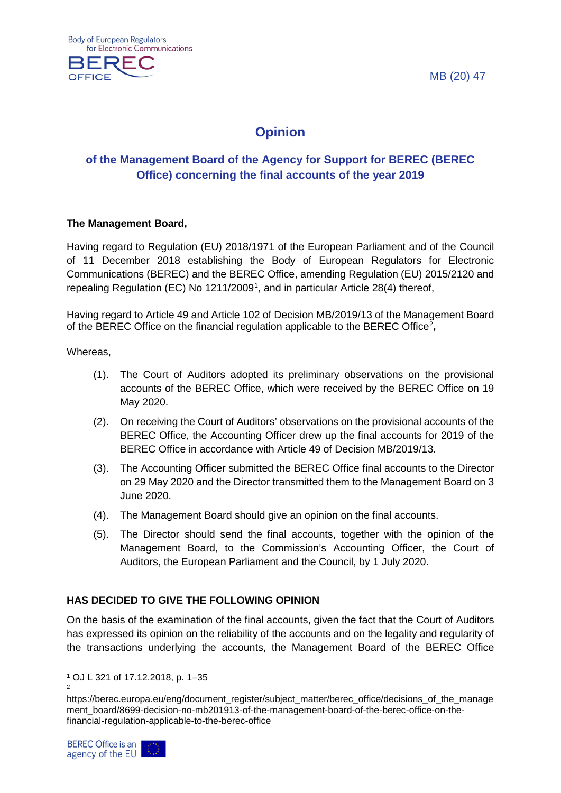MB (20) 47



## **Opinion**

## **of the Management Board of the Agency for Support for BEREC (BEREC Office) concerning the final accounts of the year 2019**

## **The Management Board,**

Having regard to Regulation (EU) 2018/1971 of the European Parliament and of the Council of 11 December 2018 establishing the Body of European Regulators for Electronic Communications (BEREC) and the BEREC Office, amending Regulation (EU) 2015/2120 and repealing Regulation (EC) No [1](#page-0-0)211/2009<sup>1</sup>, and in particular Article 28(4) thereof,

Having regard to Article 49 and Article 102 of Decision MB/2019/13 of the Management Board of the BEREC Office on the financial regulation applicable to the BEREC Office<sup>[2](#page-0-1)</sup>,

Whereas,

- (1). The Court of Auditors adopted its preliminary observations on the provisional accounts of the BEREC Office, which were received by the BEREC Office on 19 May 2020.
- (2). On receiving the Court of Auditors' observations on the provisional accounts of the BEREC Office, the Accounting Officer drew up the final accounts for 2019 of the BEREC Office in accordance with Article 49 of Decision MB/2019/13.
- (3). The Accounting Officer submitted the BEREC Office final accounts to the Director on 29 May 2020 and the Director transmitted them to the Management Board on 3 June 2020.
- (4). The Management Board should give an opinion on the final accounts.
- (5). The Director should send the final accounts, together with the opinion of the Management Board, to the Commission's Accounting Officer, the Court of Auditors, the European Parliament and the Council, by 1 July 2020.

## **HAS DECIDED TO GIVE THE FOLLOWING OPINION**

On the basis of the examination of the final accounts, given the fact that the Court of Auditors has expressed its opinion on the reliability of the accounts and on the legality and regularity of the transactions underlying the accounts, the Management Board of the BEREC Office

2

<span id="page-0-0"></span> $\overline{a}$ <sup>1</sup> OJ L 321 of 17.12.2018, p. 1–35

<span id="page-0-1"></span>https://berec.europa.eu/eng/document\_register/subject\_matter/berec\_office/decisions\_of\_the\_manage ment\_board/8699-decision-no-mb201913-of-the-management-board-of-the-berec-office-on-thefinancial-regulation-applicable-to-the-berec-office